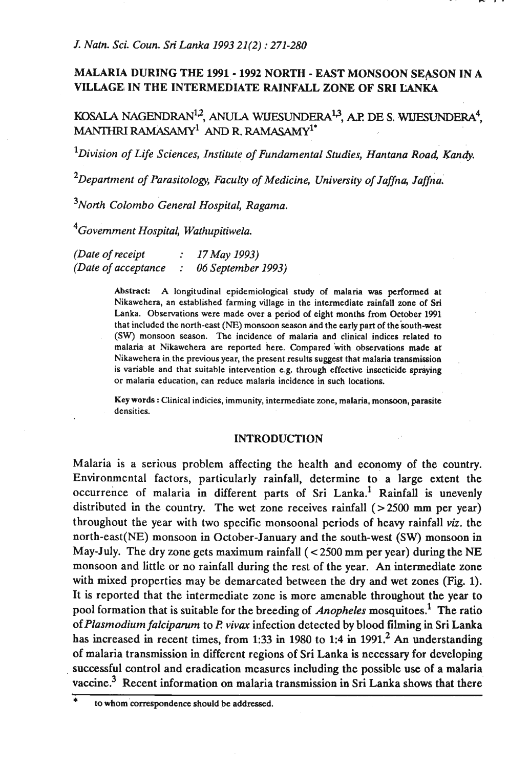# **MALARIA DURING THE 1991** - **1992 NORTH** - **EAST MONSOON SEASON IN A VILLAGE IN THE INTERMEDIATE RAINFALL ZONE OF SRI LANKA**

KOSALA NAGENDRAN<sup>12</sup>, ANULA WIJESUNDERA<sup>13</sup>, A.P. DE S. WIJESUNDERA<sup>4</sup>. MANTHRI RAMASAMY<sup>1</sup> AND R. RAMASAMY<sup>1\*</sup>

<sup>1</sup>Division of Life Sciences, Institute of Fundamental Studies, Hantana Road, Kandy.

<sup>2</sup>Department of Parasitology, Faculty of Medicine, University of Jaffna, Jaffna.

<sup>3</sup>North Colombo General Hospital, Ragama.

<sup>4</sup>Government Hospital, Wathupitiwela.

*(Date of receipt* : *17May 1993) (Date of acceptance* : *06 September 1993)* 

> Abstract: A longitudinal epidemiological study of malaria **was** performed at Nikawehera, an established farming village in the intermediate rainfall zone of **Sri**  Lanka. Observations were made over a period of eight months from October 1991 that included the north-east (NE) monsoon season and the early part of the south-west (SW) monsoon season. The incidence of malaria and clinical indices related to malaria at Nikawehera are reported here. Compared with observations made at Nikawehera in the previous year, the present results suggest that malaria transmission is variable and that suitable intervention e.g. through effective insecticide spraying or malaria education, can reduce malaria incidence in such locations.

> **Key** words : Clinical indicies, immunity, intermediate zone, malaria, monsoon, parasite densities.

## **INTRODUCTION**

Malaria is a serious problem affecting the health and economy of the country. Environmental factors, particularly rainfall, determine to a large extent the. occurrence of malaria in different parts of Sri Lanka.<sup>1</sup> Rainfall is unevenly distributed in the country. The wet zone receives rainfall (>2500 **mm** per year) throughout the year with two specific monsoonal periods of heavy rainfall *viz.* the north-east(NE) monsoon in October-January and the south-west (SW) monsoon in May-July. The dry zone gets maximum rainfall  $( $2500 \text{ mm}$  per year) during the NE$ monsoon and little or no rainfall during the rest of the year. An intermediate zone with mixed properties may be demarcated between the dry and wet zones (Fig. **1).**  It is reported that the intermediate zone is more amenable throughout the year to pool formation that is suitable for the breeding of *Anopheles* mosquitoes.' The ratio of *Plasmodium falcipamm* to **R** *viva* infection detected by blood filming **ia** Sri Lanka has increased in recent times, from **1:33** in **1980** to **1:4** in **1991.2 An** understanding of malaria transmission in different regions of Sri Lanka is necessary for developing successful control and eradication measures including the possible use of a malaria vaccine.<sup>3</sup> Recent information on malaria transmission in Sri Lanka shows that there

to whom correspondence should be addressed.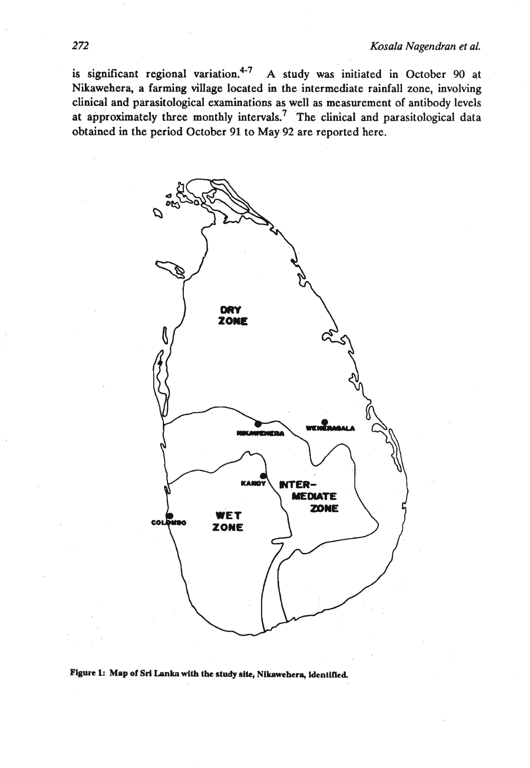is significant regional variation.<sup>4-7</sup> A study was initiated in October 90 at **Nikawehera, a farming village located in the intermediate rainfall zone, involving clinical and parasitological examinations as well as measurement of antibody levels at approximately three monthly intervals? The clinical and parasitological data obtained in the period October 91 to May 92 are reported here.** 



 $F$ igure 1: Map of Sri Lanka with the study site, Nikawehera, identified.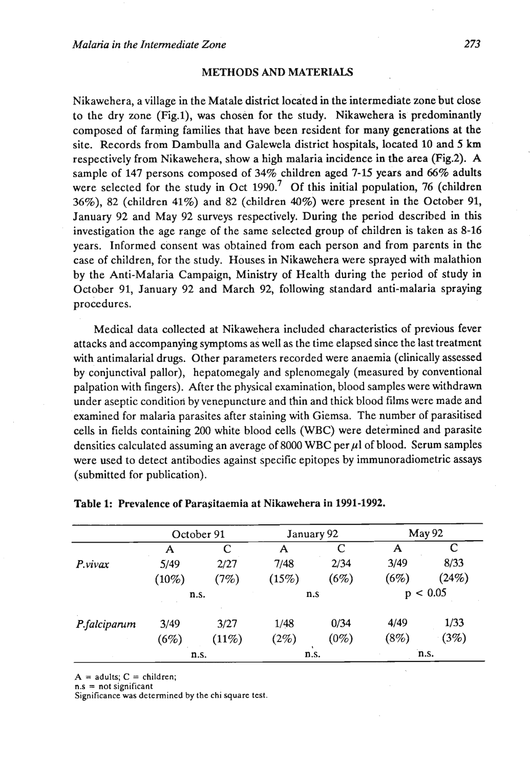## **METHODS AND MATERIALS**

Nikawehera, a village in the Matale district located in the intermediate zone but close to the dry zone (Fig.l), was chosen for the study. Nikawehera is predominantly composed of farming families that have been resident for many generations at the site. Records from Dambulla and Galewela district hospitals, located 10 and 5 km respectively from Nikawehera, show a high malaria incidence in the area (Fig.2). A sample of 147 persons composed of 34% children aged 7-15 years and 66% adults were selected for the study in Oct 1990.<sup>7</sup> Of this initial population, 76 (children 36%), *82* (children 41%) and *82* (children 40%) were present in the October 91, January 92 and May 92 surveys respectively. During the period described in this investigation the age range of the same selected group of children is taken as 8-16 years. Informed consent was obtained from each person and from parents in the case of children, for the study. Houses in Nikawehera were sprayed with malathion by the Anti-Malaria Campaign, Ministry of Health during the period of study in October 91, January 92 and March 92, following standard anti-malaria spraying procedures.

Medical data collected at Nikawehera included characteristics of previous fever attacks and accompanying symptoms as well as the time elapsed since the last treatment with antimalarial drugs. Other parameters recorded were anaemia (clinically assessed by conjunctival pallor), hepatomegaly and splenomegaly (measured by conventional palpation with fingers). After the physical examination, blood samples were withdrawn under aseptic conditiori by venepuncture and thin and thick blood films were made and examined for malaria parasites after staining with Giemsa. The number of parasitised cells in fields containing 200 white blood cells (WBC) were determined and parasite densities calculated assuming an average of 8000 WBC per  $\mu$ l of blood. Serum samples were used to detect antibodies against specific epitopes by immunoradiometric assays (submitted for publication).

|              | October 91 |       | January 92 |         | May 92   |       |
|--------------|------------|-------|------------|---------|----------|-------|
|              | A          | C     | А          | C       | A        | С     |
| P.vivax      | 5/49       | 2/27  | 7/48       | 2/34    | 3/49     | 8/33  |
|              | $(10\%)$   | (7%)  | (15%)      | (6%)    | (6%)     | (24%) |
|              | n.s.       |       | n.S        |         | p < 0.05 |       |
| P.falciparum | 3/49       | 3/27  | 1/48       | 0/34    | 4/49     | 1/33  |
|              | (6%)       | (11%) | (2%)       | $(0\%)$ | (8%)     | (3%)  |
|              | n.s.       |       | n.s.       |         | n.s.     |       |

#### Table 1: Prevalence of Parasitaemia at Nikawehera in **1991-1992.**

 $A =$  adults;  $C =$  children; n.s = not significant

Significance was determined by the chi square test.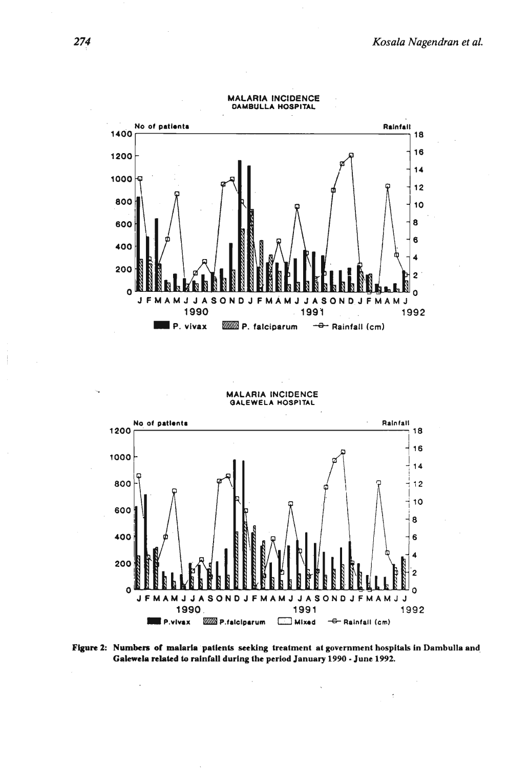

**MALARIA INCIDENCE GALEWELA HOSPlTAL** 



**Figure 2: Numbers ot malarla patlenls seeking treatment at government hospitals in Dambulla and, Galeweln related to rainfall during the period January 1990 -June 1992.**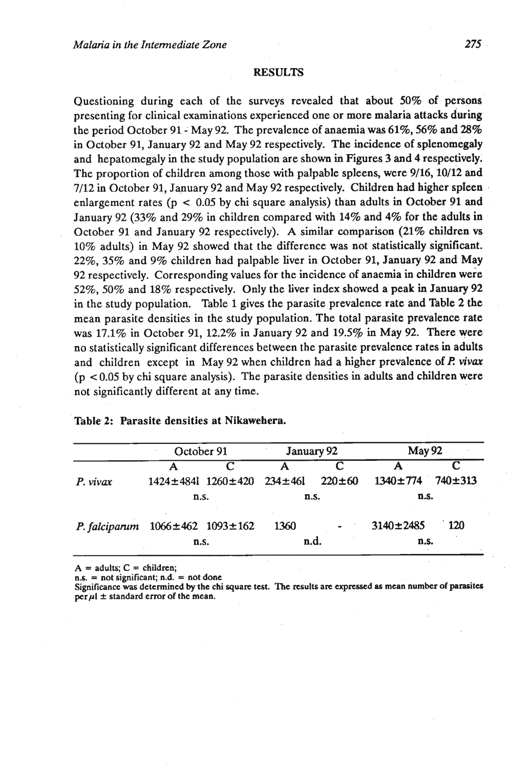## **RESULTS**

Questioning during each of the surveys revealed that about **50%** of persons presenting for clinical examinations experienced one or more malaria attacks during the period October **91** - May **92.** The prevalence of anaemia was **61%, 56%** and **28%**  in October **91,** January **92** and May **92** respectively. The incidence of splenomegaly and hepatomegaly in the study population are shown in Figures 3 and **4** respectively. The proportion of children among those with palpable spleens, were **9/16,10/12** and **7/12 in** October **91,** January **92** and May **92** respectively. Children had higher spleen enlargement rates (p < **0.05** by chi square analysis) than adults in October **91** and January **92 (33%** and **29% in** children compared with **14%** and 4% for the adults in October **91** and January **92** respectively). A similar comparison **(21%** children vs **10%** adults) in May **92** showed that the difference was not statistically significant. **22%,** 35% and **9%** children had palpable liver in October **91,** January **92** and May **92** respectively. Corresponding values for the incidence of anaemia in children were **52%, 50%** and **18%** respectively. Only the liver index showed a peak in January **92**  in the study population. Table **1** gives the parasite prevalence rate and Table 2 the mean parasite densities in the study population. The total parasite prevalence rate was **17.1%** in October **91, 12.2%** in January **92** and **19.54 in** May **92.** There were no statistically significant differences between the parasite prevalence rates in adults and children except in May **92** when children had a higher prevalence of **I? viva**  (p < **0.05** by chi square analysis). The parasite densities in adults and children were not significantly different at any time.

|               | October 91                    |                                              | January 92 |              | <b>May 92</b>   |             |
|---------------|-------------------------------|----------------------------------------------|------------|--------------|-----------------|-------------|
|               |                               |                                              |            | r            |                 |             |
| P. vivax      |                               | $1424 \pm 4841$ $1260 \pm 420$ $234 \pm 461$ |            | $220 \pm 60$ | $1340 \pm 774$  | $740 + 313$ |
|               | n.s.                          |                                              | n.s.       |              | n.s.            |             |
| P. falciparum | $1066 \pm 462$ $1093 \pm 162$ |                                              | 1360       |              | $3140 \pm 2485$ | 120         |
|               | n.s.                          |                                              | n.d.       |              | n.s.            |             |

## Table 2: Parasite densities at Nikawehera.

 $A =$  **adults;**  $C =$  children;<br>  $n.S. =$  **not significant;**  $n.d. =$  **not done** 

Significance was determined by the chi square test. The results are expressed as mean number of parasites  $per \mu l \pm$  standard error of the mean.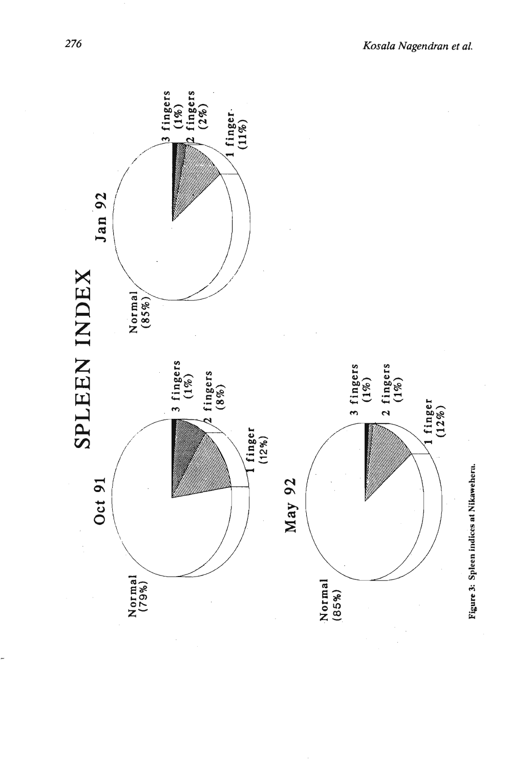

276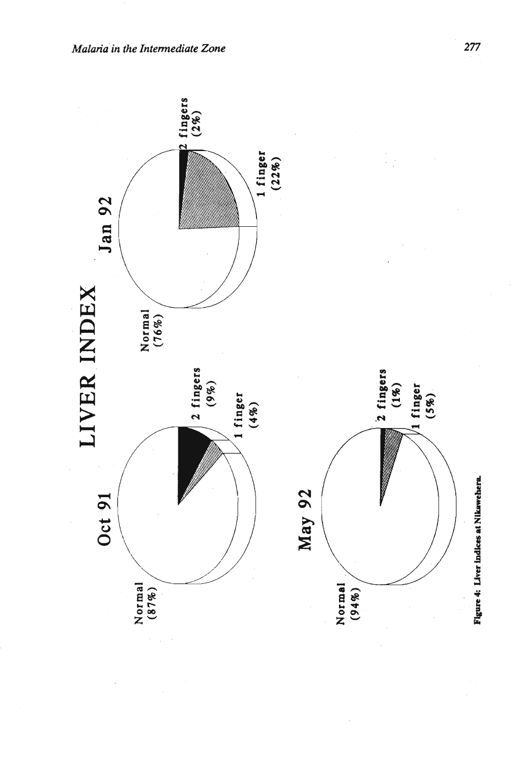

277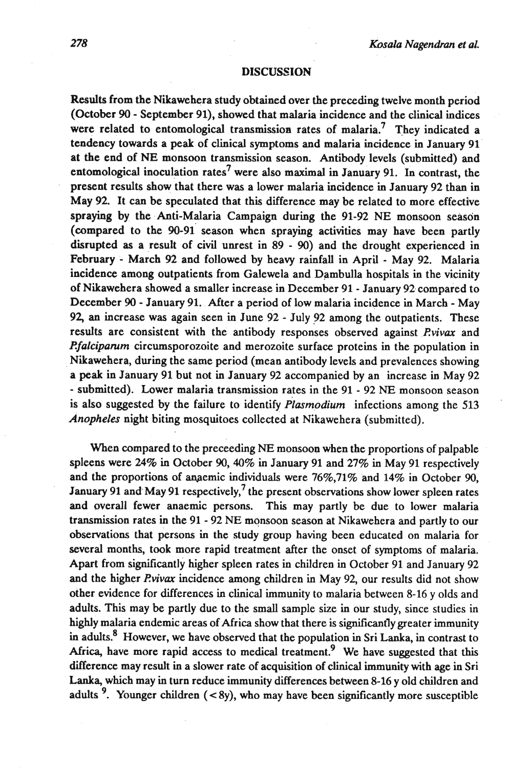#### **DISCUSSION**

Results from the Nikawehera study obtained over the preceding twelve month period (October 90 - September 91), showed that malaria incidence and the clinical indices were related to entomological transmission rates of malaria.<sup>7</sup> They indicated a tendency towards a peak of clinical symptoms and malaria incidence in January 91 at the end of **NE** monsoon transmission season. Antibody levels (submitted) and entomological inoculation rates<sup>7</sup> were also maximal in January 91. In contrast, the present results show that there was a lower malaria incidence in January 92 than in May 92. It can be speculated that this difference may be related to more effective spraying by the Anti-Malaria Campaign during the 91-92 NE monsoon season (compared to the 90-91 season when spraying activities may have been partly disrupted as a result of civil unrest in 89 - 90) and the drought experienced in February - March 92 and followed by heavy rainfall in April - May 92. Malaria incidence among outpatients from Galewela and Dambulla hospitals in the vicinity of Nikawehera showed a smaller increase in December 91 - January 92 compared to December 90 - January 91. AEter a period of low malaria incidence in March - May 92, an increase was again seen in June 92 - July 92 among the outpatients. These results are consistent with the antibody responses observed against *Rvivax* and *Rfalcipamm* circumsporozoite and merozoite surface proteins in the population in Nikawehera, during the same period (mean antibody levels and prevalences showing a peak in January 91 but not in January 92 accompanied by an increase in May 92 - submitted). Lower malaria transmission rates in the 91 - 92 **NE** monsoon season is also suggested by the failure to identify *Plasmodium* infections among the 513 *Anopheles* night biting mosquitoes collected at Nikawehera (submitted).

When compared to the preceeding NE monsoon when the proportions of palpable spleens were 24% in October 90,40% in January 91 and 27% in May 91 respectively and the proportions of anaemic individuals were  $76\%,71\%$  and  $14\%$  in October 90, January 91 and May 91 respectively,<sup>7</sup> the present observations show lower spleen rates and overall fewer anaemic persons. This may partly be due to lower malaria transmission rates in the 91 - 92 NE monsoon season at Nikawehera and partly to our observations that persons in the study group having been educated on malaria for several months, took more rapid treatment after the onset of symptoms of malaria. Apart from signiticantly higher spleen rates in children in October 91 and January 92 and the higher *Rvivax* incidence among children in May 92, our results did not show other evidence for differences in clinical immunity to malaria between 8-16 y olds and adults. This may be partly due to the small sample size in our study, since studies in highly malaria endemic areas of Africa show that there is significantly greater immunity in adults.<sup>8</sup> However, we have observed that the population in Sri Lanka, in contrast to Africa, have more rapid access to medical treatment.<sup>9</sup> We have suggested that this difference may result in a slower rate of acquisition of clinical immunity with age in Sri **Lanka,** which may in turn reduce immunity differences between 8-16 y old children and adults <sup>9</sup>. Younger children (<8y), who may have been significantly more susceptible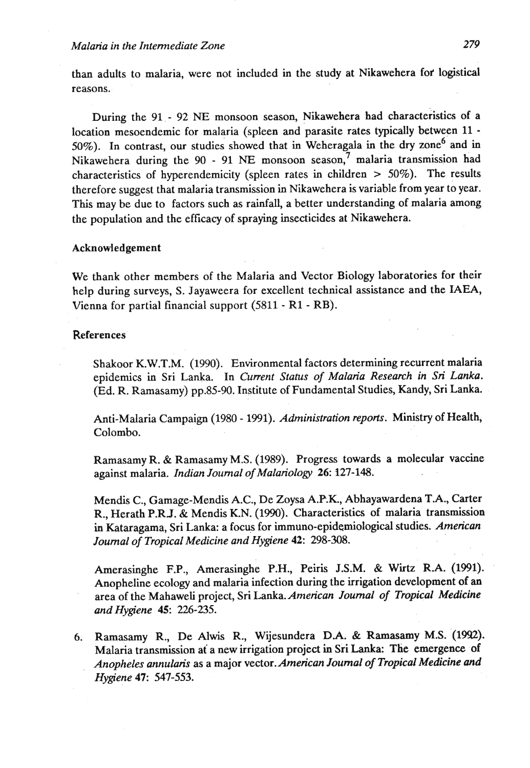than adults to malaria, were not included in the study at Nikawehera fof logistical reasons.

During the 91 - 92 **NE** monsoon season, Nikawehera had characteristics of a location mesoendemic for malaria (spleen and parasite rates typically between 11 - 50%). In contrast, our studies showed that in Weheragala in the dry zone<sup>6</sup> and in Nikawehera during the 90 - 91 **NE** monsoon season? malaria transmission had characteristics of hyperendemicity (spleen rates in children > 50%). The results therefore suggest that malaria transmission in Nikawehera is variable from year to year. This may be due to factors such as rainfall, a better understanding of malaria among the population and the efficacy of spraying insecticides at Nikawehera.

#### Acknowledgement

We thank other members of the Malaria and Vector Biology laboratories for their help during surveys, S. Jayaweera for excellent technical assistance and the IAEA, Vienna for partial financial support (5811 - R1 - RB).

#### **References**

Shakoor K.W.T.M. (1990). Environmental factors determining recurrent malaria epidemics in Sri Lanka. In *Current Status of Malaria Research in Sri Lanka,*  (Ed. R. Ramasamy) pp.85-90. Institute of Fundamental Studies, Kandy, Sri Lanka.

Anti-Malaria Campaign (1980 - 1991). *Administration reports.* Ministry of Health, Colombo.

Ramasamy R. & Ramasamy **M.S.** (1989). Progress towards a molecular vaccine against malaria. *Indian Journal of MalarioIogy* **26:** 3127-148.

Mendis C., Gamage-Mendis A.C., De Zoysa A.P.K., Abhayawardena T.A., Carter R., Herath P.RJ. & Mendis K.N. (1990). Characteristics of malaria transmission in Kataragama, Sri Lanka: a focus for immuno-epidemiological studies. *American Joumal of Tropical Medicine and Hygiene* **42:** 298-308.

Amerasinghe F.P., Amerasinghe P.H., Peiris J.S.M. & Wirtz R.A. (1991). Anopheline ecology and malaria infection during the irrigation development of an area of the Mahaweli project, Sri *Lanka.American Journal of Tropical Medicine and Hygiene 45:* 226-235.

6. Ramasamy R., De Alwis R., Wijesundera D.A. & Ramasamy M.S. (1992). Malaria transmission at a new irrigation project in Sri Lanka: The emergence of *Anopheles annulah* as a major vector.American *Joumal of Tropical Medicine and Hygiene* **47:** 547-553.